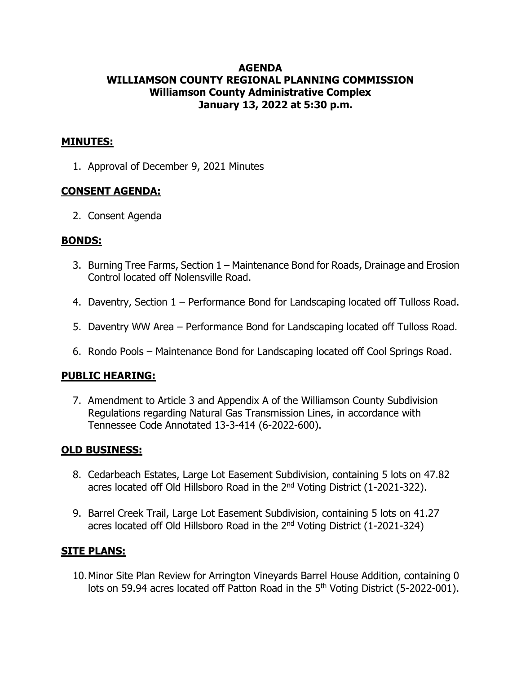## **AGENDA WILLIAMSON COUNTY REGIONAL PLANNING COMMISSION Williamson County Administrative Complex January 13, 2022 at 5:30 p.m.**

## **MINUTES:**

1. Approval of December 9, 2021 Minutes

# **CONSENT AGENDA:**

2. Consent Agenda

#### **BONDS:**

- 3. Burning Tree Farms, Section 1 Maintenance Bond for Roads, Drainage and Erosion Control located off Nolensville Road.
- 4. Daventry, Section 1 Performance Bond for Landscaping located off Tulloss Road.
- 5. Daventry WW Area Performance Bond for Landscaping located off Tulloss Road.
- 6. Rondo Pools Maintenance Bond for Landscaping located off Cool Springs Road.

## **PUBLIC HEARING:**

7. Amendment to Article 3 and Appendix A of the Williamson County Subdivision Regulations regarding Natural Gas Transmission Lines, in accordance with Tennessee Code Annotated 13-3-414 (6-2022-600).

## **OLD BUSINESS:**

- 8. Cedarbeach Estates, Large Lot Easement Subdivision, containing 5 lots on 47.82 acres located off Old Hillsboro Road in the 2<sup>nd</sup> Voting District (1-2021-322).
- 9. Barrel Creek Trail, Large Lot Easement Subdivision, containing 5 lots on 41.27 acres located off Old Hillsboro Road in the 2nd Voting District (1-2021-324)

## **SITE PLANS:**

10.Minor Site Plan Review for Arrington Vineyards Barrel House Addition, containing 0 lots on 59.94 acres located off Patton Road in the 5<sup>th</sup> Voting District (5-2022-001).